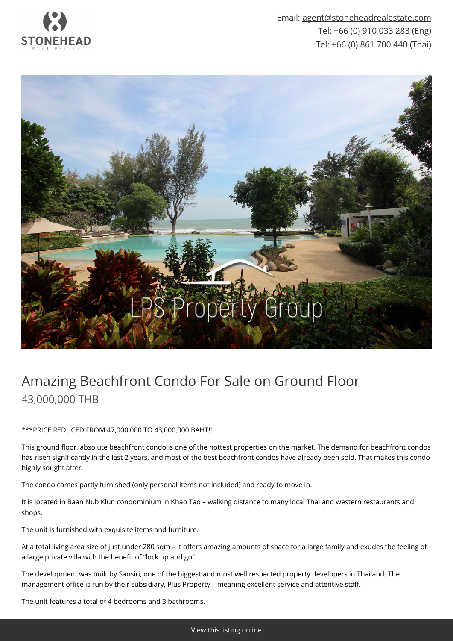

Email: [agent@stoneheadrealestate.com](mailto:agent@stoneheadrealestate.com) Tel: +66 (0) 910 033 283 (Eng) Tel: +66 (0) 861 700 440 (Thai)



## Amazing Beachfront Condo For Sale on Ground Floor 43,000,000 THB

\*\*\*PRICE REDUCED FROM 47,000,000 TO 43,000,000 BAHT!!

This ground floor, absolute beachfront condo is one of the hottest properties on the market. The demand for beachfront condos has risen significantly in the last 2 years, and most of the best beachfront condos have already been sold. That makes this condo highly sought after.

The condo comes partly furnished (only personal items not included) and ready to move in.

It is located in Baan Nub Klun condominium in Khao Tao – walking distance to many local Thai and western restaurants and shops.

The unit is furnished with exquisite items and furniture.

At a total living area size of just under 280 sqm – it offers amazing amounts of space for a large family and exudes the feeling of a large private villa with the benefit of "lock up and go".

The development was built by Sansiri, one of the biggest and most well respected property developers in Thailand. The management office is run by their subsidiary, Plus Property – meaning excellent service and attentive staff.

The unit features a total of 4 bedrooms and 3 bathrooms.